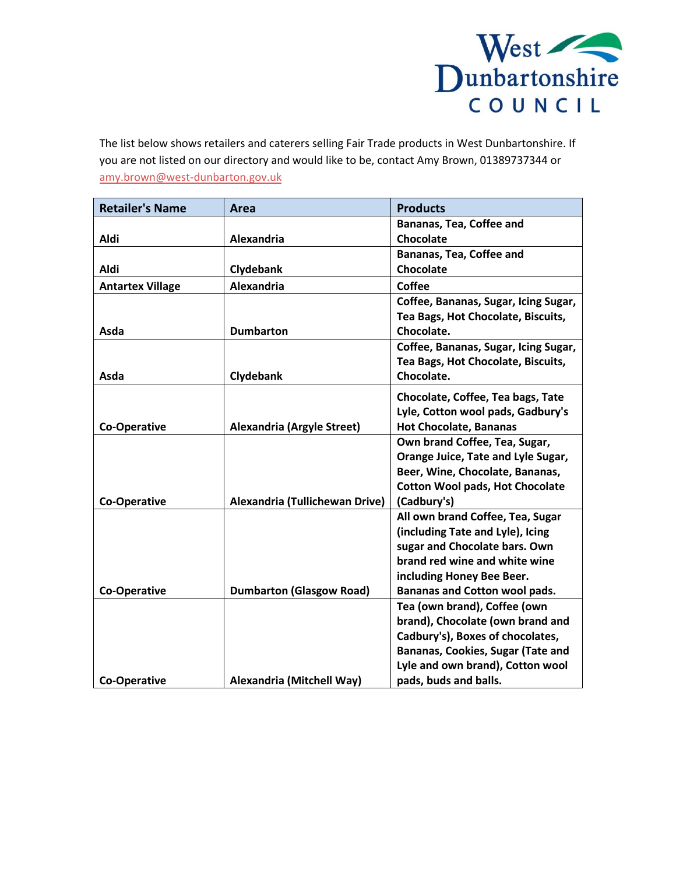

The list below shows retailers and caterers selling Fair Trade products in West Dunbartonshire. If you are not listed on our directory and would like to be, contact Amy Brown, 01389737344 or [amy.brown@west-dunbarton.gov.uk](mailto:amy.brown@west-dunbarton.gov.uk)

| <b>Retailer's Name</b>  | <b>Area</b>                       | <b>Products</b>                        |
|-------------------------|-----------------------------------|----------------------------------------|
|                         |                                   | Bananas, Tea, Coffee and               |
| <b>Aldi</b>             | Alexandria                        | Chocolate                              |
|                         |                                   | Bananas, Tea, Coffee and               |
| <b>Aldi</b>             | Clydebank                         | Chocolate                              |
| <b>Antartex Village</b> | Alexandria                        | <b>Coffee</b>                          |
|                         |                                   | Coffee, Bananas, Sugar, Icing Sugar,   |
|                         |                                   | Tea Bags, Hot Chocolate, Biscuits,     |
| Asda                    | <b>Dumbarton</b>                  | Chocolate.                             |
|                         |                                   | Coffee, Bananas, Sugar, Icing Sugar,   |
|                         |                                   | Tea Bags, Hot Chocolate, Biscuits,     |
| Asda                    | Clydebank                         | Chocolate.                             |
|                         |                                   | Chocolate, Coffee, Tea bags, Tate      |
|                         |                                   | Lyle, Cotton wool pads, Gadbury's      |
| <b>Co-Operative</b>     | <b>Alexandria (Argyle Street)</b> | <b>Hot Chocolate, Bananas</b>          |
|                         |                                   | Own brand Coffee, Tea, Sugar,          |
|                         |                                   | Orange Juice, Tate and Lyle Sugar,     |
|                         |                                   | Beer, Wine, Chocolate, Bananas,        |
|                         |                                   | <b>Cotton Wool pads, Hot Chocolate</b> |
| <b>Co-Operative</b>     | Alexandria (Tullichewan Drive)    | (Cadbury's)                            |
|                         |                                   | All own brand Coffee, Tea, Sugar       |
|                         |                                   | (including Tate and Lyle), Icing       |
|                         |                                   | sugar and Chocolate bars. Own          |
|                         |                                   | brand red wine and white wine          |
|                         |                                   | including Honey Bee Beer.              |
| <b>Co-Operative</b>     | <b>Dumbarton (Glasgow Road)</b>   | Bananas and Cotton wool pads.          |
|                         |                                   | Tea (own brand), Coffee (own           |
|                         |                                   | brand), Chocolate (own brand and       |
|                         |                                   | Cadbury's), Boxes of chocolates,       |
|                         |                                   | Bananas, Cookies, Sugar (Tate and      |
|                         |                                   | Lyle and own brand), Cotton wool       |
| <b>Co-Operative</b>     | Alexandria (Mitchell Way)         | pads, buds and balls.                  |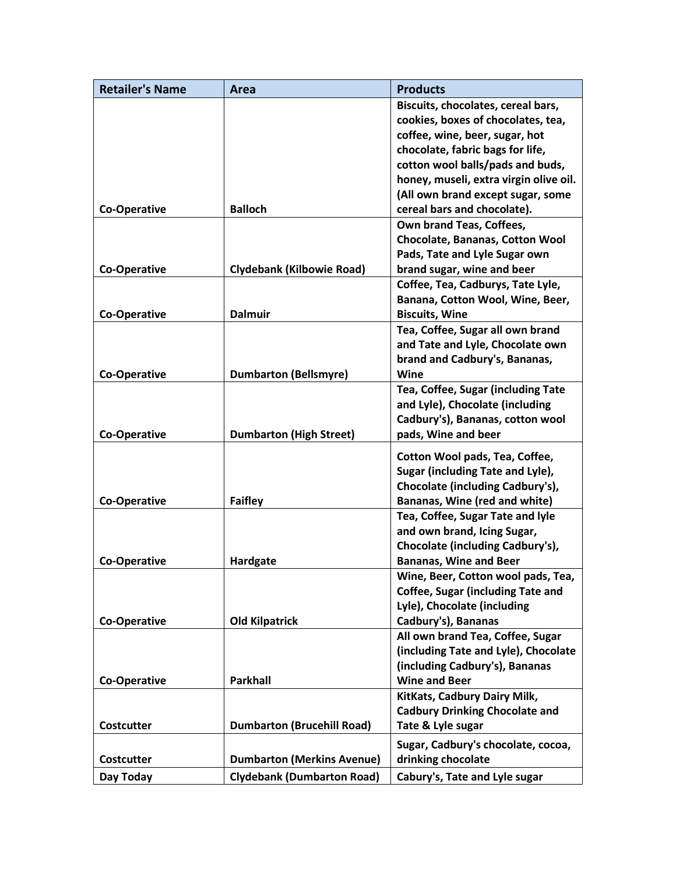| <b>Retailer's Name</b> | Area                              | <b>Products</b>                          |
|------------------------|-----------------------------------|------------------------------------------|
|                        |                                   | Biscuits, chocolates, cereal bars,       |
|                        |                                   | cookies, boxes of chocolates, tea,       |
|                        |                                   | coffee, wine, beer, sugar, hot           |
|                        |                                   | chocolate, fabric bags for life,         |
|                        |                                   | cotton wool balls/pads and buds,         |
|                        |                                   | honey, museli, extra virgin olive oil.   |
|                        |                                   | (All own brand except sugar, some        |
| <b>Co-Operative</b>    | <b>Balloch</b>                    | cereal bars and chocolate).              |
|                        |                                   | Own brand Teas, Coffees,                 |
|                        |                                   | Chocolate, Bananas, Cotton Wool          |
|                        |                                   | Pads, Tate and Lyle Sugar own            |
| <b>Co-Operative</b>    | <b>Clydebank (Kilbowie Road)</b>  | brand sugar, wine and beer               |
|                        |                                   | Coffee, Tea, Cadburys, Tate Lyle,        |
|                        |                                   | Banana, Cotton Wool, Wine, Beer,         |
| <b>Co-Operative</b>    | <b>Dalmuir</b>                    | <b>Biscuits, Wine</b>                    |
|                        |                                   | Tea, Coffee, Sugar all own brand         |
|                        |                                   | and Tate and Lyle, Chocolate own         |
|                        |                                   | brand and Cadbury's, Bananas,            |
| <b>Co-Operative</b>    | <b>Dumbarton (Bellsmyre)</b>      | Wine                                     |
|                        |                                   | Tea, Coffee, Sugar (including Tate       |
|                        |                                   | and Lyle), Chocolate (including          |
|                        |                                   | Cadbury's), Bananas, cotton wool         |
| <b>Co-Operative</b>    | <b>Dumbarton (High Street)</b>    | pads, Wine and beer                      |
|                        |                                   | Cotton Wool pads, Tea, Coffee,           |
|                        |                                   | Sugar (including Tate and Lyle),         |
|                        |                                   | Chocolate (including Cadbury's),         |
| <b>Co-Operative</b>    | <b>Faifley</b>                    | Bananas, Wine (red and white)            |
|                        |                                   | Tea, Coffee, Sugar Tate and lyle         |
|                        |                                   | and own brand, Icing Sugar,              |
|                        |                                   | Chocolate (including Cadbury's),         |
| <b>Co-Operative</b>    | Hardgate                          | <b>Bananas, Wine and Beer</b>            |
|                        |                                   | Wine, Beer, Cotton wool pads, Tea,       |
|                        |                                   | <b>Coffee, Sugar (including Tate and</b> |
|                        |                                   | Lyle), Chocolate (including              |
| <b>Co-Operative</b>    | <b>Old Kilpatrick</b>             | Cadbury's), Bananas                      |
|                        |                                   | All own brand Tea, Coffee, Sugar         |
|                        |                                   | (including Tate and Lyle), Chocolate     |
|                        |                                   | (including Cadbury's), Bananas           |
| <b>Co-Operative</b>    | <b>Parkhall</b>                   | <b>Wine and Beer</b>                     |
|                        |                                   | KitKats, Cadbury Dairy Milk,             |
|                        |                                   | <b>Cadbury Drinking Chocolate and</b>    |
| <b>Costcutter</b>      | <b>Dumbarton (Brucehill Road)</b> | Tate & Lyle sugar                        |
|                        |                                   | Sugar, Cadbury's chocolate, cocoa,       |
| <b>Costcutter</b>      | <b>Dumbarton (Merkins Avenue)</b> | drinking chocolate                       |
| Day Today              | <b>Clydebank (Dumbarton Road)</b> | Cabury's, Tate and Lyle sugar            |
|                        |                                   |                                          |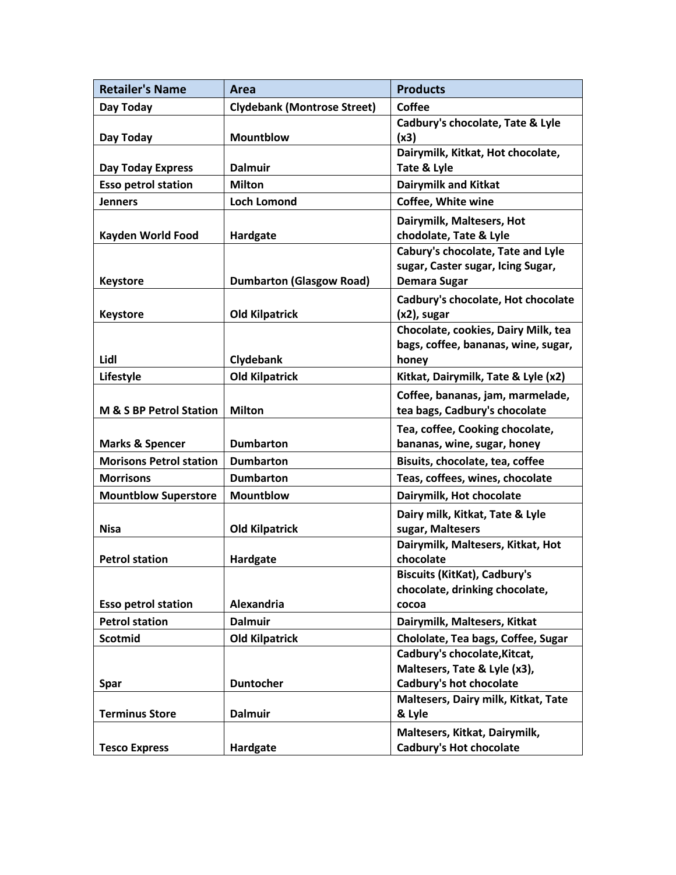| <b>Retailer's Name</b>         | Area                               | <b>Products</b>                                         |
|--------------------------------|------------------------------------|---------------------------------------------------------|
| Day Today                      | <b>Clydebank (Montrose Street)</b> | <b>Coffee</b>                                           |
|                                |                                    | Cadbury's chocolate, Tate & Lyle                        |
| Day Today                      | <b>Mountblow</b>                   | (x3)                                                    |
|                                |                                    | Dairymilk, Kitkat, Hot chocolate,                       |
| Day Today Express              | <b>Dalmuir</b>                     | Tate & Lyle                                             |
| <b>Esso petrol station</b>     | <b>Milton</b>                      | <b>Dairymilk and Kitkat</b>                             |
| <b>Jenners</b>                 | <b>Loch Lomond</b>                 | Coffee, White wine                                      |
|                                |                                    | Dairymilk, Maltesers, Hot                               |
| Kayden World Food              | <b>Hardgate</b>                    | chodolate, Tate & Lyle                                  |
|                                |                                    | Cabury's chocolate, Tate and Lyle                       |
|                                |                                    | sugar, Caster sugar, Icing Sugar,                       |
| <b>Keystore</b>                | <b>Dumbarton (Glasgow Road)</b>    | <b>Demara Sugar</b>                                     |
|                                |                                    | Cadbury's chocolate, Hot chocolate                      |
| <b>Keystore</b>                | <b>Old Kilpatrick</b>              | $(x2)$ , sugar                                          |
|                                |                                    | Chocolate, cookies, Dairy Milk, tea                     |
|                                |                                    | bags, coffee, bananas, wine, sugar,                     |
| Lidl                           | <b>Clydebank</b>                   | honey                                                   |
| Lifestyle                      | <b>Old Kilpatrick</b>              | Kitkat, Dairymilk, Tate & Lyle (x2)                     |
|                                |                                    | Coffee, bananas, jam, marmelade,                        |
| M & S BP Petrol Station        | <b>Milton</b>                      | tea bags, Cadbury's chocolate                           |
|                                |                                    | Tea, coffee, Cooking chocolate,                         |
| <b>Marks &amp; Spencer</b>     | <b>Dumbarton</b>                   | bananas, wine, sugar, honey                             |
| <b>Morisons Petrol station</b> | <b>Dumbarton</b>                   | Bisuits, chocolate, tea, coffee                         |
| <b>Morrisons</b>               | <b>Dumbarton</b>                   | Teas, coffees, wines, chocolate                         |
| <b>Mountblow Superstore</b>    | <b>Mountblow</b>                   | Dairymilk, Hot chocolate                                |
|                                |                                    | Dairy milk, Kitkat, Tate & Lyle                         |
| <b>Nisa</b>                    | <b>Old Kilpatrick</b>              | sugar, Maltesers                                        |
|                                |                                    | Dairymilk, Maltesers, Kitkat, Hot                       |
| <b>Petrol station</b>          | Hardgate                           | chocolate                                               |
|                                |                                    | <b>Biscuits (KitKat), Cadbury's</b>                     |
|                                |                                    | chocolate, drinking chocolate,                          |
| <b>Esso petrol station</b>     | <b>Alexandria</b>                  | cocoa                                                   |
| <b>Petrol station</b>          | <b>Dalmuir</b>                     | Dairymilk, Maltesers, Kitkat                            |
| <b>Scotmid</b>                 | <b>Old Kilpatrick</b>              | Chololate, Tea bags, Coffee, Sugar                      |
|                                |                                    | Cadbury's chocolate, Kitcat,                            |
| <b>Spar</b>                    | <b>Duntocher</b>                   | Maltesers, Tate & Lyle (x3),<br>Cadbury's hot chocolate |
|                                |                                    | Maltesers, Dairy milk, Kitkat, Tate                     |
| <b>Terminus Store</b>          | <b>Dalmuir</b>                     | & Lyle                                                  |
|                                |                                    | Maltesers, Kitkat, Dairymilk,                           |
| <b>Tesco Express</b>           | Hardgate                           | <b>Cadbury's Hot chocolate</b>                          |